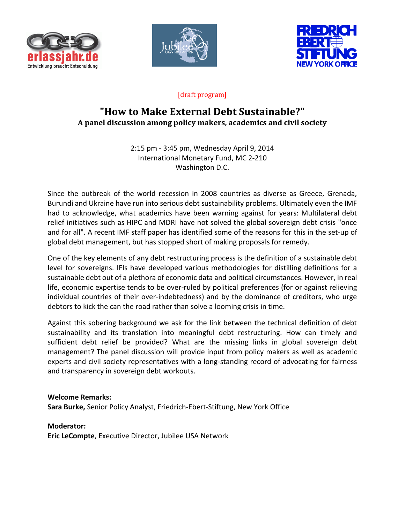





## [draft program]

# **"How to Make External Debt Sustainable?" A panel discussion among policy makers, academics and civil society**

2:15 pm - 3:45 pm, Wednesday April 9, 2014 International Monetary Fund, MC 2-210 Washington D.C.

Since the outbreak of the world recession in 2008 countries as diverse as Greece, Grenada, Burundi and Ukraine have run into serious debt sustainability problems. Ultimately even the IMF had to acknowledge, what academics have been warning against for years: Multilateral debt relief initiatives such as HIPC and MDRI have not solved the global sovereign debt crisis "once and for all". A recent IMF staff paper has identified some of the reasons for this in the set-up of global debt management, but has stopped short of making proposals for remedy.

One of the key elements of any debt restructuring process is the definition of a sustainable debt level for sovereigns. IFIs have developed various methodologies for distilling definitions for a sustainable debt out of a plethora of economic data and political circumstances. However, in real life, economic expertise tends to be over-ruled by political preferences (for or against relieving individual countries of their over-indebtedness) and by the dominance of creditors, who urge debtors to kick the can the road rather than solve a looming crisis in time.

Against this sobering background we ask for the link between the technical definition of debt sustainability and its translation into meaningful debt restructuring. How can timely and sufficient debt relief be provided? What are the missing links in global sovereign debt management? The panel discussion will provide input from policy makers as well as academic experts and civil society representatives with a long-standing record of advocating for fairness and transparency in sovereign debt workouts.

## **Welcome Remarks:**

**Sara Burke,** Senior Policy Analyst, Friedrich-Ebert-Stiftung, New York Office

**Moderator:** 

**Eric LeCompte**, Executive Director, Jubilee USA Network